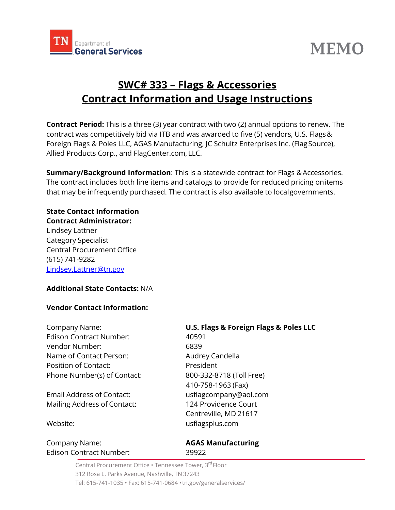

# **MEMO**

# **SWC# 333 – Flags & Accessories Contract Information and Usage Instructions**

**Contract Period:** This is a three (3) year contract with two (2) annual options to renew. The contract was competitively bid via ITB and was awarded to five (5) vendors, U.S. Flags& Foreign Flags & Poles LLC, AGAS Manufacturing, JC Schultz Enterprises Inc. (FlagSource), Allied Products Corp., and FlagCenter.com, LLC.

**Summary/Background Information:** This is a statewide contract for Flags & Accessories. The contract includes both line items and catalogs to provide for reduced pricing onitems that may be infrequently purchased. The contract is also available to localgovernments.

# **State Contact Information**

**Contract Administrator:**  Lindsey Lattner Category Specialist Central Procurement Office (615) 741-9282 [Lindsey.Lattner@tn.gov](mailto:Lindsey.Lattner@tn.gov)

# **Additional State Contacts:** N/A

# **Vendor Contact Information:**

| Company Name:                  | U.S. Flags & Foreign Flags & Poles LLC |
|--------------------------------|----------------------------------------|
| <b>Edison Contract Number:</b> | 40591                                  |
| Vendor Number:                 | 6839                                   |
| Name of Contact Person:        | Audrey Candella                        |
| Position of Contact:           | President                              |
| Phone Number(s) of Contact:    | 800-332-8718 (Toll Free)               |
|                                | 410-758-1963 (Fax)                     |
| Email Address of Contact:      | usflagcompany@aol.com                  |
| Mailing Address of Contact:    | 124 Providence Court                   |
|                                | Centreville, MD 21617                  |
| Website:                       | usflagsplus.com                        |
| Company Name:                  | <b>AGAS Manufacturing</b>              |

Edison Contract Number: 39922

Central Procurement Office • Tennessee Tower, 3<sup>rd</sup> Floor 312 Rosa L. Parks Avenue, Nashville, TN 37243 Tel: 615-741-1035 • Fax: 615-741-0684 •tn.gov/generalservices/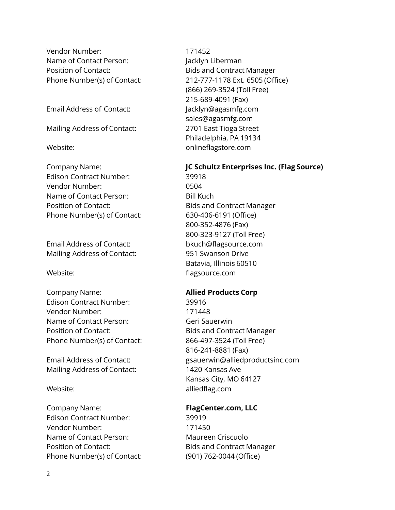Vendor Number: 171452 Name of Contact Person: Jacklyn Liberman Position of Contact: Bids and Contract Manager

Email Address of Contact: [Jacklyn@agasmfg.com](mailto:Jacklyn@agasmfg.com)

Mailing Address of Contact: 2701 East Tioga Street

Edison Contract Number: 39918 Vendor Number: 0504 Name of Contact Person: Bill Kuch Position of Contact: Bids and Contract Manager Phone Number(s) of Contact: 630-406-6191 (Office)

Email Address of Contact: [bkuch@flagsource.com](mailto:bkuch@flagsource.com) Mailing Address of Contact: 951 Swanson Drive

Company Name: **Allied Products Corp** Edison Contract Number: 39916 Vendor Number: 171448 Name of Contact Person: Geri Sauerwin Position of Contact: Bids and Contract Manager Phone Number(s) of Contact: 866-497-3524 (Toll Free)

Mailing Address of Contact: 1420 Kansas Ave

Company Name: **FlagCenter.com, LLC** Edison Contract Number: 39919 Vendor Number: 171450 Name of Contact Person: Maureen Criscuolo Position of Contact: Bids and Contract Manager Phone Number(s) of Contact: (901) 762-0044 (Office)

Phone Number(s) of Contact: 212-777-1178 Ext. 6505 (Office) (866) 269-3524 (Toll Free) 215-689-4091 (Fax) [sales@agasmfg.com](mailto:sales@agasmfg.com) Philadelphia, PA 19134 Website: Website: when the contract onlineflagstore.com

# Company Name: **JC Schultz Enterprises Inc. (Flag Source)**

800-352-4876 (Fax) 800-323-9127 (Toll Free) Batavia, Illinois 60510 Website: when the state of the flagsource.com

816-241-8881 (Fax) Email Address of Contact: [gsauerwin@alliedproductsinc.com](mailto:gsauerwin@alliedproductsinc.com) Kansas City, MO 64127 Website: alliedflag.com